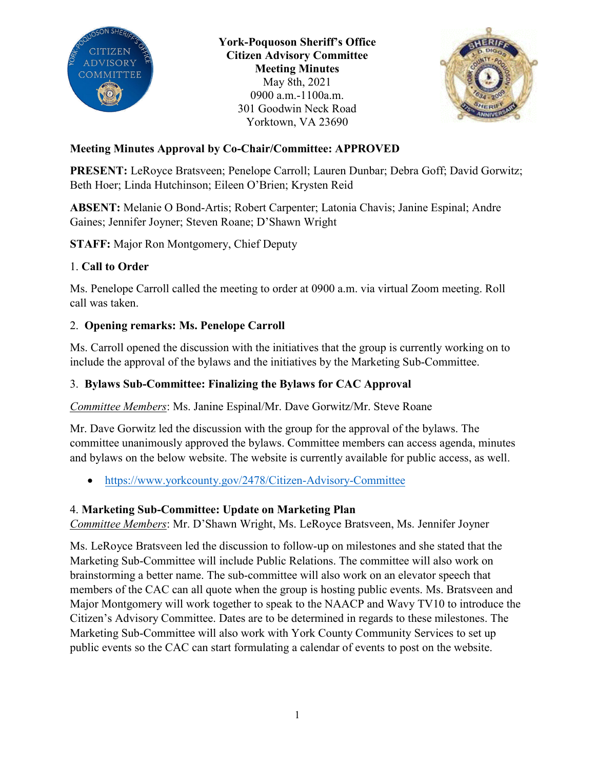

**York-Poquoson Sheriff's Office Citizen Advisory Committee Meeting Minutes** May 8th, 2021 0900 a.m.-1100a.m. 301 Goodwin Neck Road Yorktown, VA 23690



## **Meeting Minutes Approval by Co-Chair/Committee: APPROVED**

**PRESENT:** LeRoyce Bratsveen; Penelope Carroll; Lauren Dunbar; Debra Goff; David Gorwitz; Beth Hoer; Linda Hutchinson; Eileen O'Brien; Krysten Reid

**ABSENT:** Melanie O Bond-Artis; Robert Carpenter; Latonia Chavis; Janine Espinal; Andre Gaines; Jennifer Joyner; Steven Roane; D'Shawn Wright

**STAFF:** Major Ron Montgomery, Chief Deputy

## 1. **Call to Order**

Ms. Penelope Carroll called the meeting to order at 0900 a.m. via virtual Zoom meeting. Roll call was taken.

## 2. **Opening remarks: Ms. Penelope Carroll**

Ms. Carroll opened the discussion with the initiatives that the group is currently working on to include the approval of the bylaws and the initiatives by the Marketing Sub-Committee.

## 3. **Bylaws Sub-Committee: Finalizing the Bylaws for CAC Approval**

*Committee Members*: Ms. Janine Espinal/Mr. Dave Gorwitz/Mr. Steve Roane

Mr. Dave Gorwitz led the discussion with the group for the approval of the bylaws. The committee unanimously approved the bylaws. Committee members can access agenda, minutes and bylaws on the below website. The website is currently available for public access, as well.

• <https://www.yorkcounty.gov/2478/Citizen-Advisory-Committee>

# 4. **Marketing Sub-Committee: Update on Marketing Plan**

*Committee Members*: Mr. D'Shawn Wright, Ms. LeRoyce Bratsveen, Ms. Jennifer Joyner

Ms. LeRoyce Bratsveen led the discussion to follow-up on milestones and she stated that the Marketing Sub-Committee will include Public Relations. The committee will also work on brainstorming a better name. The sub-committee will also work on an elevator speech that members of the CAC can all quote when the group is hosting public events. Ms. Bratsveen and Major Montgomery will work together to speak to the NAACP and Wavy TV10 to introduce the Citizen's Advisory Committee. Dates are to be determined in regards to these milestones. The Marketing Sub-Committee will also work with York County Community Services to set up public events so the CAC can start formulating a calendar of events to post on the website.